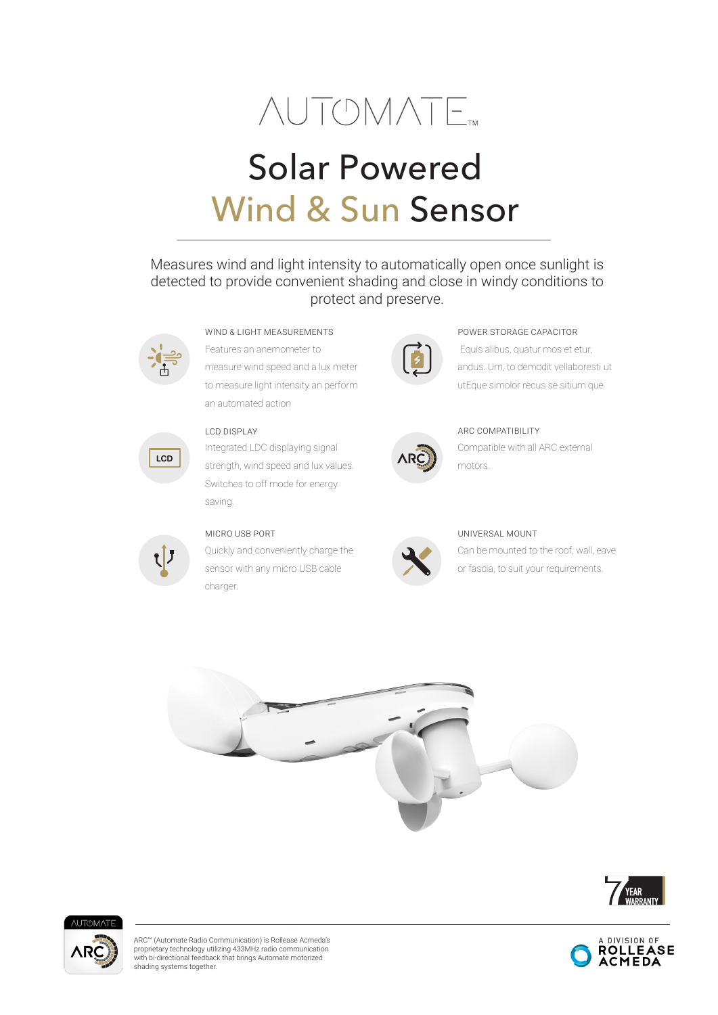

# Solar Powered Wind & Sun Sensor

# Measures wind and light intensity to automatically open once sunlight is detected to provide convenient shading and close in windy conditions to protect and preserve.



Features an anemometer to measure wind speed and a lux meter to measure light intensity an perform an automated action WIND & LIGHT MEASUREMENTS



Integrated LDC displaying signal strength, wind speed and lux values. Switches to off mode for energy saving.



### MICRO USB PORT

Quickly and conveniently charge the sensor with any micro USB cable charger.



## Equis alibus, quatur mos et etur, andus. Um, to demodit vellaboresti ut POWER STORAGE CAPACITOR

utEque simolor recus se sitium que



Compatible with all ARC external motors.



### UNIVERSAL MOUNT

Can be mounted to the roof, wall, eave or fascia, to suit your requirements.









ARC™ (Automate Radio Communication) is Rollease Acmeda's proprietary technology utilizing 433MHz radio communication with bi-directional feedback that brings Automate motorized shading systems together.